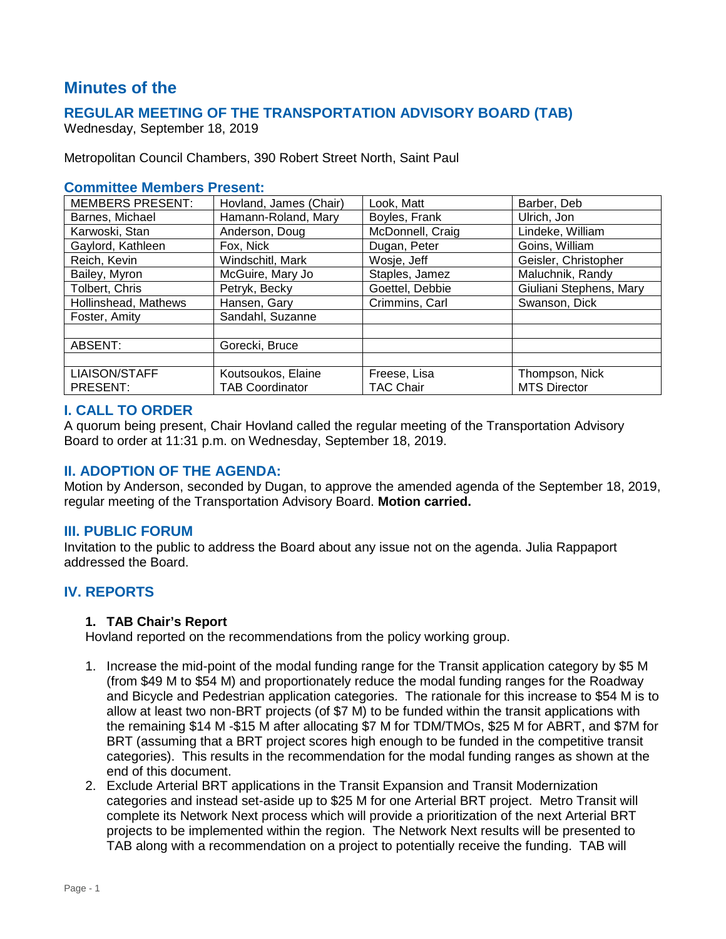# **Minutes of the**

### **REGULAR MEETING OF THE TRANSPORTATION ADVISORY BOARD (TAB)**

Wednesday, September 18, 2019

Metropolitan Council Chambers, 390 Robert Street North, Saint Paul

### **Committee Members Present:**

| <b>MEMBERS PRESENT:</b> | Hovland, James (Chair) | Look, Matt       | Barber, Deb             |  |
|-------------------------|------------------------|------------------|-------------------------|--|
| Barnes, Michael         | Hamann-Roland, Mary    | Boyles, Frank    | Ulrich, Jon             |  |
| Karwoski, Stan          | Anderson, Doug         | McDonnell, Craig | Lindeke, William        |  |
| Gaylord, Kathleen       | Fox, Nick              | Dugan, Peter     | Goins, William          |  |
| Reich, Kevin            | Windschitl, Mark       | Wosje, Jeff      | Geisler, Christopher    |  |
| Bailey, Myron           | McGuire, Mary Jo       | Staples, Jamez   | Maluchnik, Randy        |  |
| Tolbert, Chris          | Petryk, Becky          | Goettel, Debbie  | Giuliani Stephens, Mary |  |
| Hollinshead, Mathews    | Hansen, Gary           | Crimmins, Carl   | Swanson, Dick           |  |
| Foster, Amity           | Sandahl, Suzanne       |                  |                         |  |
|                         |                        |                  |                         |  |
| ABSENT:                 | Gorecki, Bruce         |                  |                         |  |
|                         |                        |                  |                         |  |
| <b>LIAISON/STAFF</b>    | Koutsoukos, Elaine     | Freese, Lisa     | Thompson, Nick          |  |
| PRESENT:                | <b>TAB Coordinator</b> | TAC Chair        | <b>MTS Director</b>     |  |

#### **I. CALL TO ORDER**

A quorum being present, Chair Hovland called the regular meeting of the Transportation Advisory Board to order at 11:31 p.m. on Wednesday, September 18, 2019.

### **II. ADOPTION OF THE AGENDA:**

Motion by Anderson, seconded by Dugan, to approve the amended agenda of the September 18, 2019, regular meeting of the Transportation Advisory Board. **Motion carried.**

#### **III. PUBLIC FORUM**

Invitation to the public to address the Board about any issue not on the agenda. Julia Rappaport addressed the Board.

### **IV. REPORTS**

#### **1. TAB Chair's Report**

Hovland reported on the recommendations from the policy working group.

- 1. Increase the mid-point of the modal funding range for the Transit application category by \$5 M (from \$49 M to \$54 M) and proportionately reduce the modal funding ranges for the Roadway and Bicycle and Pedestrian application categories. The rationale for this increase to \$54 M is to allow at least two non-BRT projects (of \$7 M) to be funded within the transit applications with the remaining \$14 M -\$15 M after allocating \$7 M for TDM/TMOs, \$25 M for ABRT, and \$7M for BRT (assuming that a BRT project scores high enough to be funded in the competitive transit categories). This results in the recommendation for the modal funding ranges as shown at the end of this document.
- 2. Exclude Arterial BRT applications in the Transit Expansion and Transit Modernization categories and instead set-aside up to \$25 M for one Arterial BRT project. Metro Transit will complete its Network Next process which will provide a prioritization of the next Arterial BRT projects to be implemented within the region. The Network Next results will be presented to TAB along with a recommendation on a project to potentially receive the funding. TAB will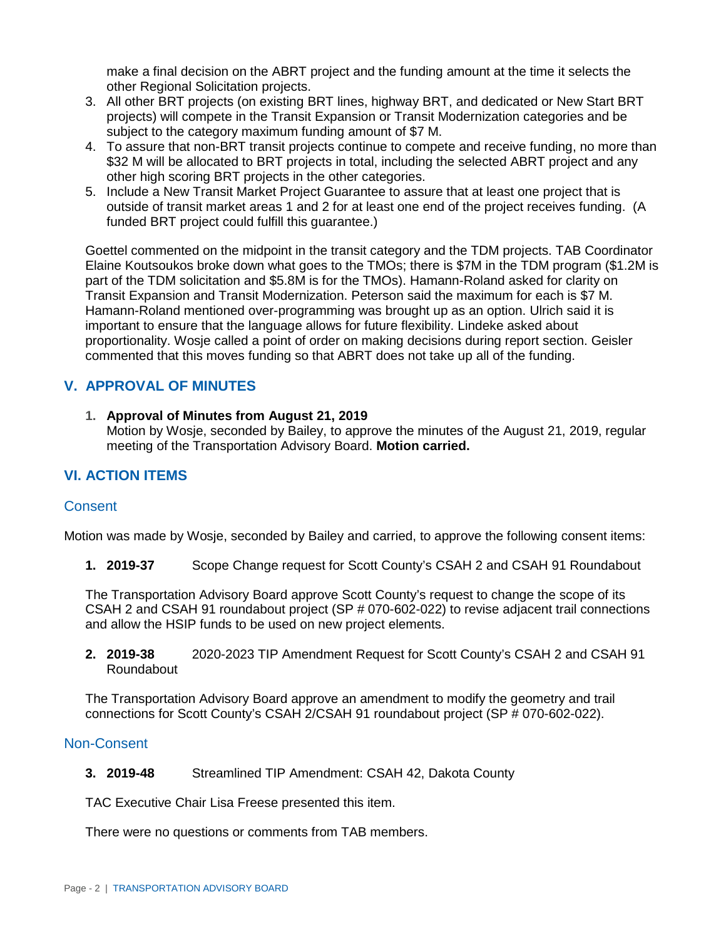make a final decision on the ABRT project and the funding amount at the time it selects the other Regional Solicitation projects.

- 3. All other BRT projects (on existing BRT lines, highway BRT, and dedicated or New Start BRT projects) will compete in the Transit Expansion or Transit Modernization categories and be subject to the category maximum funding amount of \$7 M.
- 4. To assure that non-BRT transit projects continue to compete and receive funding, no more than \$32 M will be allocated to BRT projects in total, including the selected ABRT project and any other high scoring BRT projects in the other categories.
- 5. Include a New Transit Market Project Guarantee to assure that at least one project that is outside of transit market areas 1 and 2 for at least one end of the project receives funding. (A funded BRT project could fulfill this guarantee.)

Goettel commented on the midpoint in the transit category and the TDM projects. TAB Coordinator Elaine Koutsoukos broke down what goes to the TMOs; there is \$7M in the TDM program (\$1.2M is part of the TDM solicitation and \$5.8M is for the TMOs). Hamann-Roland asked for clarity on Transit Expansion and Transit Modernization. Peterson said the maximum for each is \$7 M. Hamann-Roland mentioned over-programming was brought up as an option. Ulrich said it is important to ensure that the language allows for future flexibility. Lindeke asked about proportionality. Wosje called a point of order on making decisions during report section. Geisler commented that this moves funding so that ABRT does not take up all of the funding.

## **V. APPROVAL OF MINUTES**

**1. Approval of Minutes from August 21, 2019** Motion by Wosje, seconded by Bailey, to approve the minutes of the August 21, 2019, regular meeting of the Transportation Advisory Board. **Motion carried.**

## **VI. ACTION ITEMS**

### **Consent**

Motion was made by Wosje, seconded by Bailey and carried, to approve the following consent items:

**1. 2019-37** Scope Change request for Scott County's CSAH 2 and CSAH 91 Roundabout

The Transportation Advisory Board approve Scott County's request to change the scope of its CSAH 2 and CSAH 91 roundabout project (SP # 070-602-022) to revise adjacent trail connections and allow the HSIP funds to be used on new project elements.

**2. 2019-38** 2020-2023 TIP Amendment Request for Scott County's CSAH 2 and CSAH 91 Roundabout

The Transportation Advisory Board approve an amendment to modify the geometry and trail connections for Scott County's CSAH 2/CSAH 91 roundabout project (SP # 070-602-022).

### Non-Consent

**3. 2019-48** Streamlined TIP Amendment: CSAH 42, Dakota County

TAC Executive Chair Lisa Freese presented this item.

There were no questions or comments from TAB members.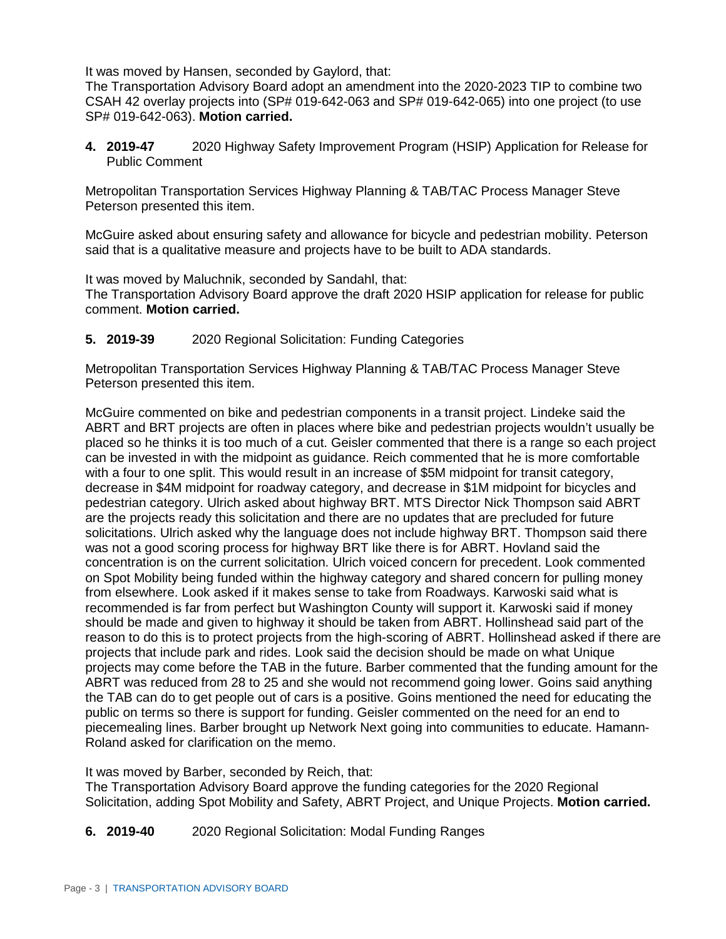It was moved by Hansen, seconded by Gaylord, that:

The Transportation Advisory Board adopt an amendment into the 2020-2023 TIP to combine two CSAH 42 overlay projects into (SP# 019-642-063 and SP# 019-642-065) into one project (to use SP# 019-642-063). **Motion carried.**

**4. 2019-47** 2020 Highway Safety Improvement Program (HSIP) Application for Release for Public Comment

Metropolitan Transportation Services Highway Planning & TAB/TAC Process Manager Steve Peterson presented this item.

McGuire asked about ensuring safety and allowance for bicycle and pedestrian mobility. Peterson said that is a qualitative measure and projects have to be built to ADA standards.

It was moved by Maluchnik, seconded by Sandahl, that:

The Transportation Advisory Board approve the draft 2020 HSIP application for release for public comment. **Motion carried.**

**5. 2019-39** 2020 Regional Solicitation: Funding Categories

Metropolitan Transportation Services Highway Planning & TAB/TAC Process Manager Steve Peterson presented this item.

McGuire commented on bike and pedestrian components in a transit project. Lindeke said the ABRT and BRT projects are often in places where bike and pedestrian projects wouldn't usually be placed so he thinks it is too much of a cut. Geisler commented that there is a range so each project can be invested in with the midpoint as guidance. Reich commented that he is more comfortable with a four to one split. This would result in an increase of \$5M midpoint for transit category, decrease in \$4M midpoint for roadway category, and decrease in \$1M midpoint for bicycles and pedestrian category. Ulrich asked about highway BRT. MTS Director Nick Thompson said ABRT are the projects ready this solicitation and there are no updates that are precluded for future solicitations. Ulrich asked why the language does not include highway BRT. Thompson said there was not a good scoring process for highway BRT like there is for ABRT. Hovland said the concentration is on the current solicitation. Ulrich voiced concern for precedent. Look commented on Spot Mobility being funded within the highway category and shared concern for pulling money from elsewhere. Look asked if it makes sense to take from Roadways. Karwoski said what is recommended is far from perfect but Washington County will support it. Karwoski said if money should be made and given to highway it should be taken from ABRT. Hollinshead said part of the reason to do this is to protect projects from the high-scoring of ABRT. Hollinshead asked if there are projects that include park and rides. Look said the decision should be made on what Unique projects may come before the TAB in the future. Barber commented that the funding amount for the ABRT was reduced from 28 to 25 and she would not recommend going lower. Goins said anything the TAB can do to get people out of cars is a positive. Goins mentioned the need for educating the public on terms so there is support for funding. Geisler commented on the need for an end to piecemealing lines. Barber brought up Network Next going into communities to educate. Hamann-Roland asked for clarification on the memo.

It was moved by Barber, seconded by Reich, that:

The Transportation Advisory Board approve the funding categories for the 2020 Regional Solicitation, adding Spot Mobility and Safety, ABRT Project, and Unique Projects. **Motion carried.**

**6. 2019-40** 2020 Regional Solicitation: Modal Funding Ranges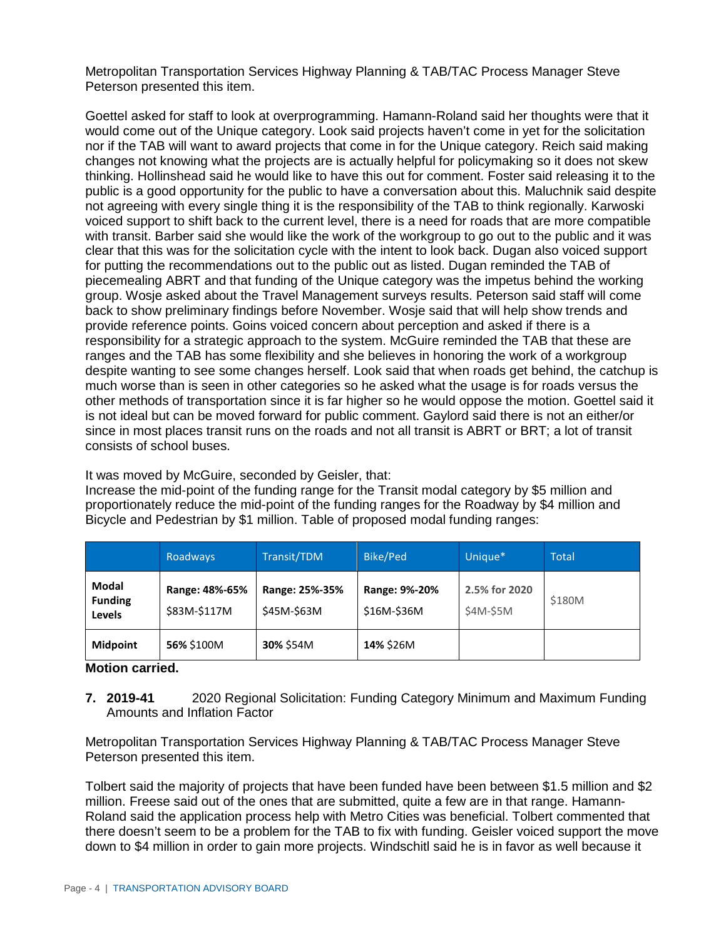Metropolitan Transportation Services Highway Planning & TAB/TAC Process Manager Steve Peterson presented this item.

Goettel asked for staff to look at overprogramming. Hamann-Roland said her thoughts were that it would come out of the Unique category. Look said projects haven't come in yet for the solicitation nor if the TAB will want to award projects that come in for the Unique category. Reich said making changes not knowing what the projects are is actually helpful for policymaking so it does not skew thinking. Hollinshead said he would like to have this out for comment. Foster said releasing it to the public is a good opportunity for the public to have a conversation about this. Maluchnik said despite not agreeing with every single thing it is the responsibility of the TAB to think regionally. Karwoski voiced support to shift back to the current level, there is a need for roads that are more compatible with transit. Barber said she would like the work of the workgroup to go out to the public and it was clear that this was for the solicitation cycle with the intent to look back. Dugan also voiced support for putting the recommendations out to the public out as listed. Dugan reminded the TAB of piecemealing ABRT and that funding of the Unique category was the impetus behind the working group. Wosje asked about the Travel Management surveys results. Peterson said staff will come back to show preliminary findings before November. Wosje said that will help show trends and provide reference points. Goins voiced concern about perception and asked if there is a responsibility for a strategic approach to the system. McGuire reminded the TAB that these are ranges and the TAB has some flexibility and she believes in honoring the work of a workgroup despite wanting to see some changes herself. Look said that when roads get behind, the catchup is much worse than is seen in other categories so he asked what the usage is for roads versus the other methods of transportation since it is far higher so he would oppose the motion. Goettel said it is not ideal but can be moved forward for public comment. Gaylord said there is not an either/or since in most places transit runs on the roads and not all transit is ABRT or BRT; a lot of transit consists of school buses.

It was moved by McGuire, seconded by Geisler, that:

Increase the mid-point of the funding range for the Transit modal category by \$5 million and proportionately reduce the mid-point of the funding ranges for the Roadway by \$4 million and Bicycle and Pedestrian by \$1 million. Table of proposed modal funding ranges:

|                                          | Roadways                       | Transit/TDM                   | Bike/Ped                     | Unique*                    | <b>Total</b> |
|------------------------------------------|--------------------------------|-------------------------------|------------------------------|----------------------------|--------------|
| Modal<br><b>Funding</b><br><b>Levels</b> | Range: 48%-65%<br>\$83M-\$117M | Range: 25%-35%<br>\$45M-\$63M | Range: 9%-20%<br>\$16M-\$36M | 2.5% for 2020<br>\$4M-\$5M | \$180M       |
| <b>Midpoint</b>                          | 56% \$100M                     | 30% \$54M                     | 14% \$26M                    |                            |              |

**Motion carried.**

**7. 2019-41** 2020 Regional Solicitation: Funding Category Minimum and Maximum Funding Amounts and Inflation Factor

Metropolitan Transportation Services Highway Planning & TAB/TAC Process Manager Steve Peterson presented this item.

Tolbert said the majority of projects that have been funded have been between \$1.5 million and \$2 million. Freese said out of the ones that are submitted, quite a few are in that range. Hamann-Roland said the application process help with Metro Cities was beneficial. Tolbert commented that there doesn't seem to be a problem for the TAB to fix with funding. Geisler voiced support the move down to \$4 million in order to gain more projects. Windschitl said he is in favor as well because it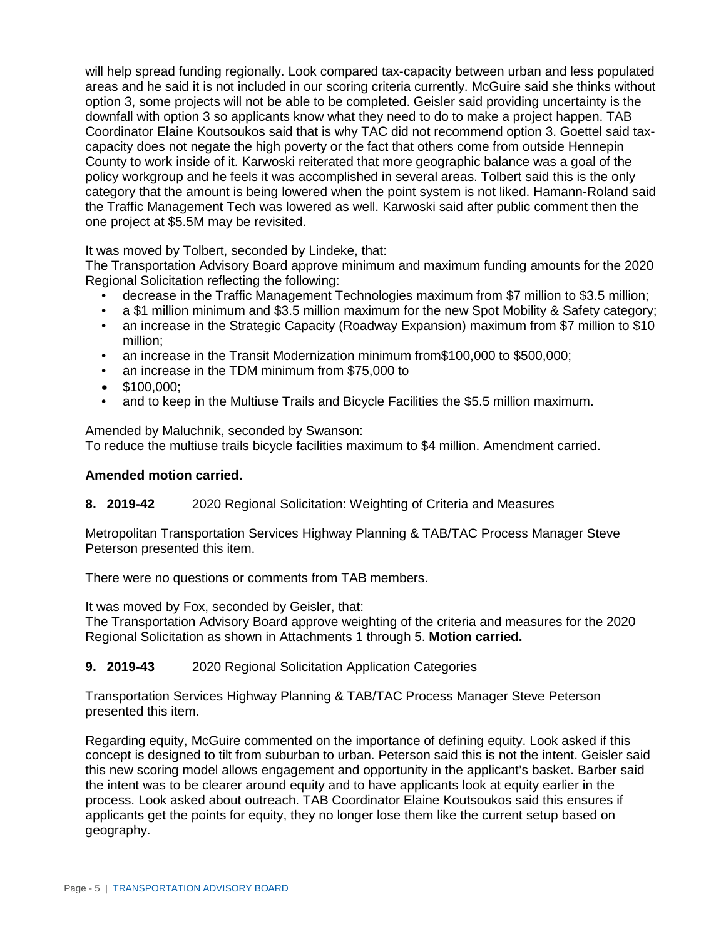will help spread funding regionally. Look compared tax-capacity between urban and less populated areas and he said it is not included in our scoring criteria currently. McGuire said she thinks without option 3, some projects will not be able to be completed. Geisler said providing uncertainty is the downfall with option 3 so applicants know what they need to do to make a project happen. TAB Coordinator Elaine Koutsoukos said that is why TAC did not recommend option 3. Goettel said taxcapacity does not negate the high poverty or the fact that others come from outside Hennepin County to work inside of it. Karwoski reiterated that more geographic balance was a goal of the policy workgroup and he feels it was accomplished in several areas. Tolbert said this is the only category that the amount is being lowered when the point system is not liked. Hamann-Roland said the Traffic Management Tech was lowered as well. Karwoski said after public comment then the one project at \$5.5M may be revisited.

It was moved by Tolbert, seconded by Lindeke, that:

The Transportation Advisory Board approve minimum and maximum funding amounts for the 2020 Regional Solicitation reflecting the following:

- decrease in the Traffic Management Technologies maximum from \$7 million to \$3.5 million;
- a \$1 million minimum and \$3.5 million maximum for the new Spot Mobility & Safety category;
- an increase in the Strategic Capacity (Roadway Expansion) maximum from \$7 million to \$10 million;
- an increase in the Transit Modernization minimum from \$100,000 to \$500,000;
- an increase in the TDM minimum from \$75,000 to
- \$100,000:
- and to keep in the Multiuse Trails and Bicycle Facilities the \$5.5 million maximum.

Amended by Maluchnik, seconded by Swanson:

To reduce the multiuse trails bicycle facilities maximum to \$4 million. Amendment carried.

### **Amended motion carried.**

**8. 2019-42** 2020 Regional Solicitation: Weighting of Criteria and Measures

Metropolitan Transportation Services Highway Planning & TAB/TAC Process Manager Steve Peterson presented this item.

There were no questions or comments from TAB members.

It was moved by Fox, seconded by Geisler, that:

The Transportation Advisory Board approve weighting of the criteria and measures for the 2020 Regional Solicitation as shown in Attachments 1 through 5. **Motion carried.**

### **9. 2019-43** 2020 Regional Solicitation Application Categories

Transportation Services Highway Planning & TAB/TAC Process Manager Steve Peterson presented this item.

Regarding equity, McGuire commented on the importance of defining equity. Look asked if this concept is designed to tilt from suburban to urban. Peterson said this is not the intent. Geisler said this new scoring model allows engagement and opportunity in the applicant's basket. Barber said the intent was to be clearer around equity and to have applicants look at equity earlier in the process. Look asked about outreach. TAB Coordinator Elaine Koutsoukos said this ensures if applicants get the points for equity, they no longer lose them like the current setup based on geography.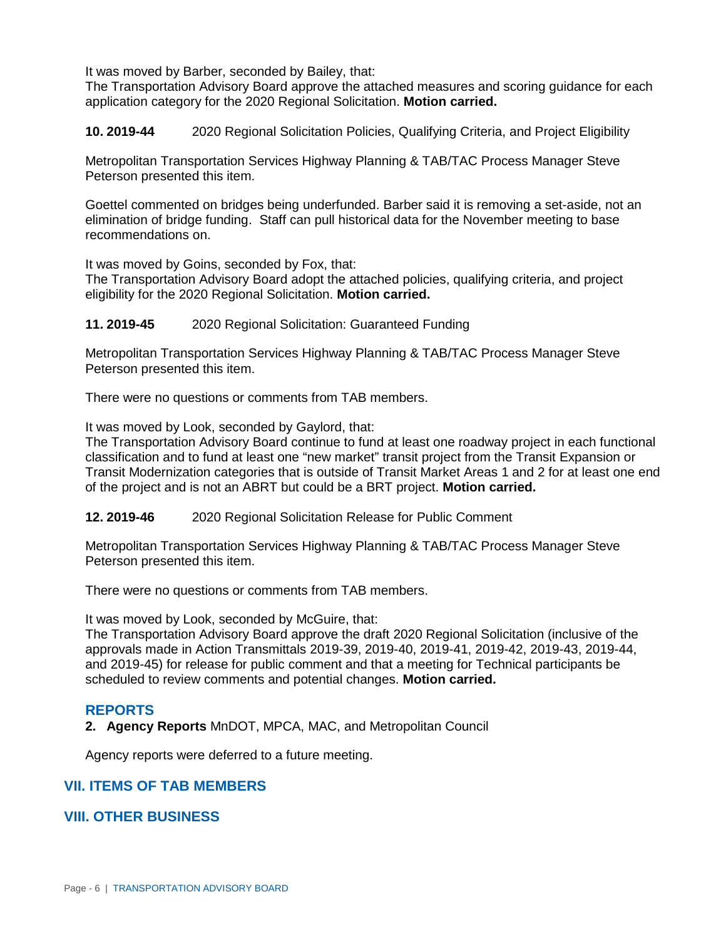It was moved by Barber, seconded by Bailey, that:

The Transportation Advisory Board approve the attached measures and scoring guidance for each application category for the 2020 Regional Solicitation. **Motion carried.**

**10. 2019-44** 2020 Regional Solicitation Policies, Qualifying Criteria, and Project Eligibility

Metropolitan Transportation Services Highway Planning & TAB/TAC Process Manager Steve Peterson presented this item.

Goettel commented on bridges being underfunded. Barber said it is removing a set-aside, not an elimination of bridge funding. Staff can pull historical data for the November meeting to base recommendations on.

It was moved by Goins, seconded by Fox, that:

The Transportation Advisory Board adopt the attached policies, qualifying criteria, and project eligibility for the 2020 Regional Solicitation. **Motion carried.**

**11. 2019-45** 2020 Regional Solicitation: Guaranteed Funding

Metropolitan Transportation Services Highway Planning & TAB/TAC Process Manager Steve Peterson presented this item.

There were no questions or comments from TAB members.

It was moved by Look, seconded by Gaylord, that:

The Transportation Advisory Board continue to fund at least one roadway project in each functional classification and to fund at least one "new market" transit project from the Transit Expansion or Transit Modernization categories that is outside of Transit Market Areas 1 and 2 for at least one end of the project and is not an ABRT but could be a BRT project. **Motion carried.**

**12. 2019-46** 2020 Regional Solicitation Release for Public Comment

Metropolitan Transportation Services Highway Planning & TAB/TAC Process Manager Steve Peterson presented this item.

There were no questions or comments from TAB members.

It was moved by Look, seconded by McGuire, that:

The Transportation Advisory Board approve the draft 2020 Regional Solicitation (inclusive of the approvals made in Action Transmittals 2019-39, 2019-40, 2019-41, 2019-42, 2019-43, 2019-44, and 2019-45) for release for public comment and that a meeting for Technical participants be scheduled to review comments and potential changes. **Motion carried.**

### **REPORTS**

**2. Agency Reports** MnDOT, MPCA, MAC, and Metropolitan Council

Agency reports were deferred to a future meeting.

### **VII. ITEMS OF TAB MEMBERS**

### **VIII. OTHER BUSINESS**